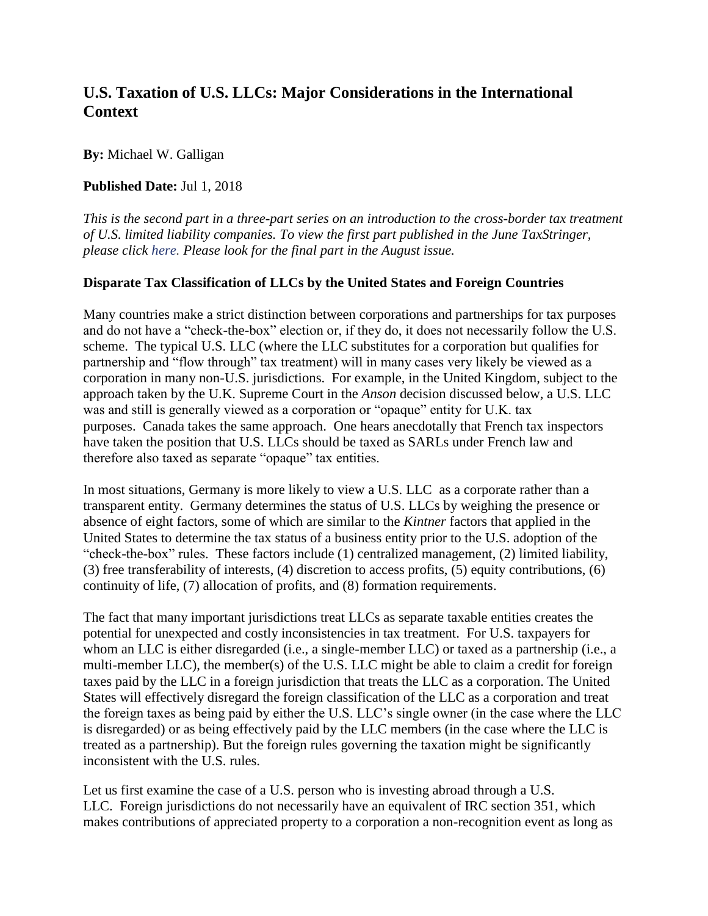## **U.S. Taxation of U.S. LLCs: Major Considerations in the International Context**

**By:** Michael W. Galligan

## **Published Date:** Jul 1, 2018

*This is the second part in a three-part series on an introduction to the cross-border tax treatment of U.S. limited liability companies. To view the first part published in the June TaxStringer, please click [here.](https://www.nysscpa.org/news/publications/the-tax-stringer/article/u.s.-taxation-of-u.s.-limited-liability-companies-(llcs)) Please look for the final part in the August issue.*

## **Disparate Tax Classification of LLCs by the United States and Foreign Countries**

Many countries make a strict distinction between corporations and partnerships for tax purposes and do not have a "check-the-box" election or, if they do, it does not necessarily follow the U.S. scheme. The typical U.S. LLC (where the LLC substitutes for a corporation but qualifies for partnership and "flow through" tax treatment) will in many cases very likely be viewed as a corporation in many non-U.S. jurisdictions. For example, in the United Kingdom, subject to the approach taken by the U.K. Supreme Court in the *Anson* decision discussed below, a U.S. LLC was and still is generally viewed as a corporation or "opaque" entity for U.K. tax purposes. Canada takes the same approach. One hears anecdotally that French tax inspectors have taken the position that U.S. LLCs should be taxed as SARLs under French law and therefore also taxed as separate "opaque" tax entities.

In most situations, Germany is more likely to view a U.S. LLC as a corporate rather than a transparent entity. Germany determines the status of U.S. LLCs by weighing the presence or absence of eight factors, some of which are similar to the *Kintner* factors that applied in the United States to determine the tax status of a business entity prior to the U.S. adoption of the "check-the-box" rules. These factors include (1) centralized management, (2) limited liability, (3) free transferability of interests, (4) discretion to access profits, (5) equity contributions, (6) continuity of life, (7) allocation of profits, and (8) formation requirements.

The fact that many important jurisdictions treat LLCs as separate taxable entities creates the potential for unexpected and costly inconsistencies in tax treatment. For U.S. taxpayers for whom an LLC is either disregarded (i.e., a single-member LLC) or taxed as a partnership (i.e., a multi-member LLC), the member(s) of the U.S. LLC might be able to claim a credit for foreign taxes paid by the LLC in a foreign jurisdiction that treats the LLC as a corporation. The United States will effectively disregard the foreign classification of the LLC as a corporation and treat the foreign taxes as being paid by either the U.S. LLC's single owner (in the case where the LLC is disregarded) or as being effectively paid by the LLC members (in the case where the LLC is treated as a partnership). But the foreign rules governing the taxation might be significantly inconsistent with the U.S. rules.

Let us first examine the case of a U.S. person who is investing abroad through a U.S. LLC. Foreign jurisdictions do not necessarily have an equivalent of IRC section 351, which makes contributions of appreciated property to a corporation a non-recognition event as long as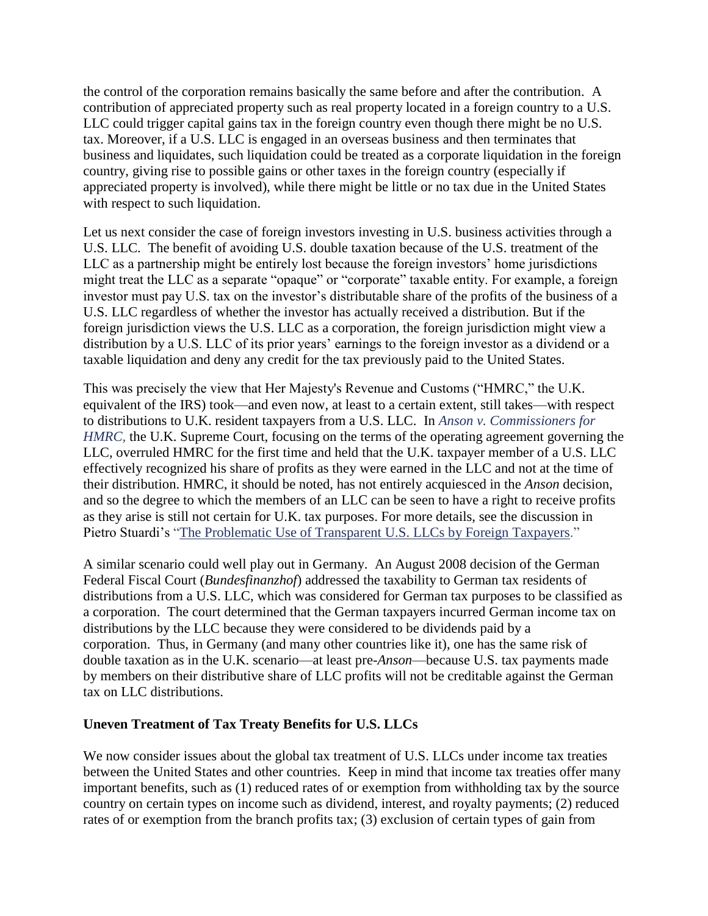the control of the corporation remains basically the same before and after the contribution. A contribution of appreciated property such as real property located in a foreign country to a U.S. LLC could trigger capital gains tax in the foreign country even though there might be no U.S. tax. Moreover, if a U.S. LLC is engaged in an overseas business and then terminates that business and liquidates, such liquidation could be treated as a corporate liquidation in the foreign country, giving rise to possible gains or other taxes in the foreign country (especially if appreciated property is involved), while there might be little or no tax due in the United States with respect to such liquidation.

Let us next consider the case of foreign investors investing in U.S. business activities through a U.S. LLC. The benefit of avoiding U.S. double taxation because of the U.S. treatment of the LLC as a partnership might be entirely lost because the foreign investors' home jurisdictions might treat the LLC as a separate "opaque" or "corporate" taxable entity. For example, a foreign investor must pay U.S. tax on the investor's distributable share of the profits of the business of a U.S. LLC regardless of whether the investor has actually received a distribution. But if the foreign jurisdiction views the U.S. LLC as a corporation, the foreign jurisdiction might view a distribution by a U.S. LLC of its prior years' earnings to the foreign investor as a dividend or a taxable liquidation and deny any credit for the tax previously paid to the United States.

This was precisely the view that Her Majesty's Revenue and Customs ("HMRC," the U.K. equivalent of the IRS) took—and even now, at least to a certain extent, still takes—with respect to distributions to U.K. resident taxpayers from a U.S. LLC. In *Anson v. [Commissioners](https://www.supremecourt.uk/cases/docs/uksc-2013-0068-judgment.pdf) for [HMRC,](https://www.supremecourt.uk/cases/docs/uksc-2013-0068-judgment.pdf)* the U.K. Supreme Court, focusing on the terms of the operating agreement governing the LLC, overruled HMRC for the first time and held that the U.K. taxpayer member of a U.S. LLC effectively recognized his share of profits as they were earned in the LLC and not at the time of their distribution. HMRC, it should be noted, has not entirely acquiesced in the *Anson* decision, and so the degree to which the members of an LLC can be seen to have a right to receive profits as they arise is still not certain for U.K. tax purposes. For more details, see the discussion in Pietro Stuardi's "The [Problematic](https://www.thetaxadviser.com/issues/2015/oct/problematic-use-of-transparent-us-llcs-by-foreign-taxpayers.html) Use of Transparent U.S. LLCs by Foreign Taxpayers."

A similar scenario could well play out in Germany. An August 2008 decision of the German Federal Fiscal Court (*Bundesfinanzhof*) addressed the taxability to German tax residents of distributions from a U.S. LLC, which was considered for German tax purposes to be classified as a corporation. The court determined that the German taxpayers incurred German income tax on distributions by the LLC because they were considered to be dividends paid by a corporation. Thus, in Germany (and many other countries like it), one has the same risk of double taxation as in the U.K. scenario—at least pre-*Anson*—because U.S. tax payments made by members on their distributive share of LLC profits will not be creditable against the German tax on LLC distributions.

## **Uneven Treatment of Tax Treaty Benefits for U.S. LLCs**

We now consider issues about the global tax treatment of U.S. LLCs under income tax treaties between the United States and other countries. Keep in mind that income tax treaties offer many important benefits, such as (1) reduced rates of or exemption from withholding tax by the source country on certain types on income such as dividend, interest, and royalty payments; (2) reduced rates of or exemption from the branch profits tax; (3) exclusion of certain types of gain from